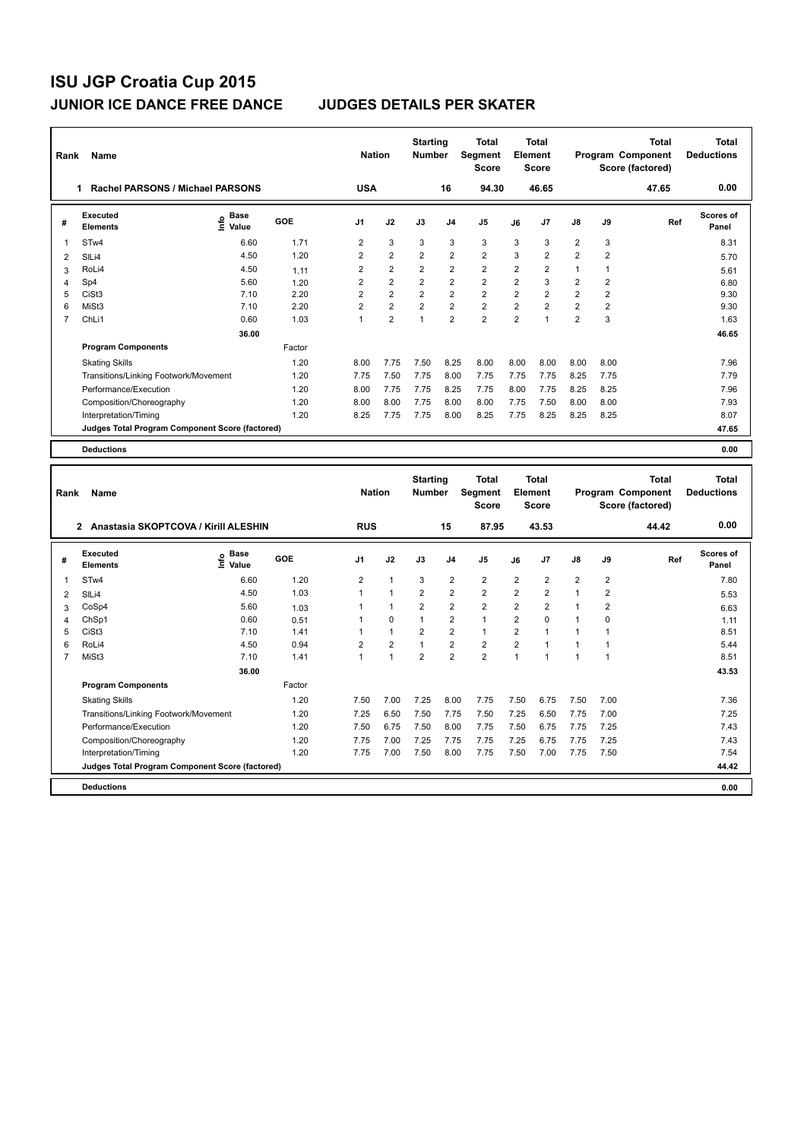| Rank           | Name                                            |                            |        | <b>Nation</b>  |                | <b>Starting</b><br><b>Number</b> |                | <b>Total</b><br><b>Segment</b><br><b>Score</b> |                | <b>Total</b><br>Element<br><b>Score</b> |                         |                | <b>Total</b><br>Program Component<br>Score (factored) | <b>Total</b><br><b>Deductions</b> |
|----------------|-------------------------------------------------|----------------------------|--------|----------------|----------------|----------------------------------|----------------|------------------------------------------------|----------------|-----------------------------------------|-------------------------|----------------|-------------------------------------------------------|-----------------------------------|
|                | Rachel PARSONS / Michael PARSONS<br>1           |                            |        | <b>USA</b>     |                |                                  | 16             | 94.30                                          |                | 46.65                                   |                         |                | 47.65                                                 | 0.00                              |
| #              | Executed<br><b>Elements</b>                     | <b>Base</b><br>۴<br>Value  | GOE    | J1             | J2             | J3                               | J <sub>4</sub> | J <sub>5</sub>                                 | J6             | J7                                      | J8                      | J9             | Ref                                                   | <b>Scores of</b><br>Panel         |
| 1              | STw4                                            | 6.60                       | 1.71   | 2              | 3              | 3                                | 3              | 3                                              | 3              | 3                                       | $\overline{\mathbf{c}}$ | 3              |                                                       | 8.31                              |
| $\overline{2}$ | SILi4                                           | 4.50                       | 1.20   | $\overline{2}$ | $\overline{2}$ | $\overline{2}$                   | $\overline{2}$ | $\overline{2}$                                 | 3              | $\overline{2}$                          | $\overline{2}$          | $\overline{2}$ |                                                       | 5.70                              |
| 3              | RoLi4                                           | 4.50                       | 1.11   | $\overline{2}$ | $\overline{2}$ | $\overline{2}$                   | $\overline{2}$ | $\overline{2}$                                 | $\overline{2}$ | $\overline{2}$                          | $\mathbf{1}$            | $\mathbf{1}$   |                                                       | 5.61                              |
| 4              | Sp4                                             | 5.60                       | 1.20   | $\overline{2}$ | $\overline{2}$ | $\overline{2}$                   | $\overline{2}$ | $\overline{2}$                                 | $\overline{2}$ | 3                                       | $\overline{2}$          | $\overline{2}$ |                                                       | 6.80                              |
| 5              | CiSt <sub>3</sub>                               | 7.10                       | 2.20   | $\overline{2}$ | $\overline{2}$ | $\overline{2}$                   | $\overline{2}$ | $\overline{2}$                                 | $\overline{2}$ | $\overline{2}$                          | $\overline{2}$          | $\overline{2}$ |                                                       | 9.30                              |
| 6              | MiSt3                                           | 7.10                       | 2.20   | $\overline{2}$ | $\overline{2}$ | $\overline{2}$                   | $\overline{2}$ | $\overline{2}$                                 | $\overline{2}$ | $\overline{2}$                          | $\overline{2}$          | $\overline{2}$ |                                                       | 9.30                              |
| 7              | ChLi1                                           | 0.60                       | 1.03   | 1              | $\overline{2}$ | $\overline{1}$                   | $\overline{2}$ | $\overline{2}$                                 | $\overline{2}$ | $\mathbf{1}$                            | $\overline{2}$          | 3              |                                                       | 1.63                              |
|                |                                                 | 36.00                      |        |                |                |                                  |                |                                                |                |                                         |                         |                |                                                       | 46.65                             |
|                | <b>Program Components</b>                       |                            | Factor |                |                |                                  |                |                                                |                |                                         |                         |                |                                                       |                                   |
|                | <b>Skating Skills</b>                           |                            | 1.20   | 8.00           | 7.75           | 7.50                             | 8.25           | 8.00                                           | 8.00           | 8.00                                    | 8.00                    | 8.00           |                                                       | 7.96                              |
|                | Transitions/Linking Footwork/Movement           |                            | 1.20   | 7.75           | 7.50           | 7.75                             | 8.00           | 7.75                                           | 7.75           | 7.75                                    | 8.25                    | 7.75           |                                                       | 7.79                              |
|                | Performance/Execution                           |                            | 1.20   | 8.00           | 7.75           | 7.75                             | 8.25           | 7.75                                           | 8.00           | 7.75                                    | 8.25                    | 8.25           |                                                       | 7.96                              |
|                | Composition/Choreography                        |                            | 1.20   | 8.00           | 8.00           | 7.75                             | 8.00           | 8.00                                           | 7.75           | 7.50                                    | 8.00                    | 8.00           |                                                       | 7.93                              |
|                | Interpretation/Timing                           |                            | 1.20   | 8.25           | 7.75           | 7.75                             | 8.00           | 8.25                                           | 7.75           | 8.25                                    | 8.25                    | 8.25           |                                                       | 8.07                              |
|                | Judges Total Program Component Score (factored) |                            |        |                |                |                                  |                |                                                |                |                                         |                         |                |                                                       | 47.65                             |
|                | <b>Deductions</b>                               |                            |        |                |                |                                  |                |                                                |                |                                         |                         |                |                                                       | 0.00                              |
|                |                                                 |                            |        |                |                |                                  |                |                                                |                |                                         |                         |                |                                                       |                                   |
| Rank           | Name                                            |                            |        | <b>Nation</b>  |                | <b>Starting</b><br><b>Number</b> |                | <b>Total</b><br>Segment<br><b>Score</b>        |                | <b>Total</b><br>Element<br><b>Score</b> |                         |                | <b>Total</b><br>Program Component<br>Score (factored) | <b>Total</b><br><b>Deductions</b> |
|                | 2 Anastasia SKOPTCOVA / Kirill ALESHIN          |                            |        | <b>RUS</b>     |                |                                  | 15             | 87.95                                          |                | 43.53                                   |                         |                | 44.42                                                 | 0.00                              |
| #              | <b>Executed</b><br><b>Elements</b>              | <b>Base</b><br>۴ô<br>Value | GOE    | J1             | J2             | J3                               | J4             | J5                                             | J6             | J7                                      | J8                      | J9             | Ref                                                   | Scores of<br>Panel                |
| 1              | STw4                                            | 6.60                       | 1.20   | $\overline{2}$ | $\overline{1}$ | 3                                | $\overline{2}$ | $\overline{2}$                                 | $\overline{2}$ | $\overline{2}$                          | $\overline{2}$          | $\overline{2}$ |                                                       | 7.80                              |
| 2              | SILi4                                           | 4.50                       | 1.03   | $\mathbf{1}$   | $\overline{1}$ | 2                                | $\overline{2}$ | $\overline{2}$                                 | $\overline{2}$ | $\overline{2}$                          | $\mathbf 1$             | $\overline{2}$ |                                                       | 5.53                              |

|   | Anastasia SKOPTCOVA / Kirill ALESHIN            |                           |            | <b>RUS</b>     |          |                | 15                      | 87.95          |                | 43.53          |                |                | 44.42 | 0.00               |
|---|-------------------------------------------------|---------------------------|------------|----------------|----------|----------------|-------------------------|----------------|----------------|----------------|----------------|----------------|-------|--------------------|
| # | Executed<br><b>Elements</b>                     | Base<br>o Base<br>⊆ Value | <b>GOE</b> | J1             | J2       | J3             | J <sub>4</sub>          | J5             | J6             | J <sub>7</sub> | $\mathsf{J}8$  | J9             | Ref   | Scores of<br>Panel |
|   | STw4                                            | 6.60                      | 1.20       | $\overline{2}$ |          | 3              | $\overline{\mathbf{c}}$ | $\overline{2}$ | $\overline{2}$ | $\overline{2}$ | $\overline{2}$ | $\overline{2}$ |       | 7.80               |
| 2 | SIL <sub>i4</sub>                               | 4.50                      | 1.03       |                |          | $\overline{2}$ | $\overline{2}$          | $\overline{2}$ | $\overline{2}$ | $\overline{2}$ | 1              | 2              |       | 5.53               |
| 3 | CoSp4                                           | 5.60                      | 1.03       |                |          | $\overline{2}$ | $\overline{2}$          | $\overline{2}$ | $\overline{2}$ | $\overline{2}$ | 1              | $\overline{2}$ |       | 6.63               |
| 4 | ChSp1                                           | 0.60                      | 0.51       |                | $\Omega$ |                | $\overline{2}$          |                | $\overline{2}$ | $\Omega$       | 1              | $\Omega$       |       | 1.11               |
| 5 | CiSt3                                           | 7.10                      | 1.41       |                |          | $\overline{2}$ | $\overline{2}$          |                | 2              |                |                |                |       | 8.51               |
| 6 | RoLi4                                           | 4.50                      | 0.94       | 2              | 2        |                | 2                       | $\overline{2}$ | 2              |                |                |                |       | 5.44               |
|   | MiSt3                                           | 7.10                      | 1.41       |                |          | $\overline{2}$ | $\overline{2}$          | $\overline{2}$ |                |                | 4              |                |       | 8.51               |
|   |                                                 | 36.00                     |            |                |          |                |                         |                |                |                |                |                |       | 43.53              |
|   | <b>Program Components</b>                       |                           | Factor     |                |          |                |                         |                |                |                |                |                |       |                    |
|   | <b>Skating Skills</b>                           |                           | 1.20       | 7.50           | 7.00     | 7.25           | 8.00                    | 7.75           | 7.50           | 6.75           | 7.50           | 7.00           |       | 7.36               |
|   | Transitions/Linking Footwork/Movement           |                           | 1.20       | 7.25           | 6.50     | 7.50           | 7.75                    | 7.50           | 7.25           | 6.50           | 7.75           | 7.00           |       | 7.25               |
|   | Performance/Execution                           |                           | 1.20       | 7.50           | 6.75     | 7.50           | 8.00                    | 7.75           | 7.50           | 6.75           | 7.75           | 7.25           |       | 7.43               |
|   | Composition/Choreography                        |                           | 1.20       | 7.75           | 7.00     | 7.25           | 7.75                    | 7.75           | 7.25           | 6.75           | 7.75           | 7.25           |       | 7.43               |
|   | Interpretation/Timing                           |                           | 1.20       | 7.75           | 7.00     | 7.50           | 8.00                    | 7.75           | 7.50           | 7.00           | 7.75           | 7.50           |       | 7.54               |
|   | Judges Total Program Component Score (factored) |                           |            |                |          |                |                         |                |                |                |                |                |       | 44.42              |
|   | <b>Deductions</b>                               |                           |            |                |          |                |                         |                |                |                |                |                |       | 0.00               |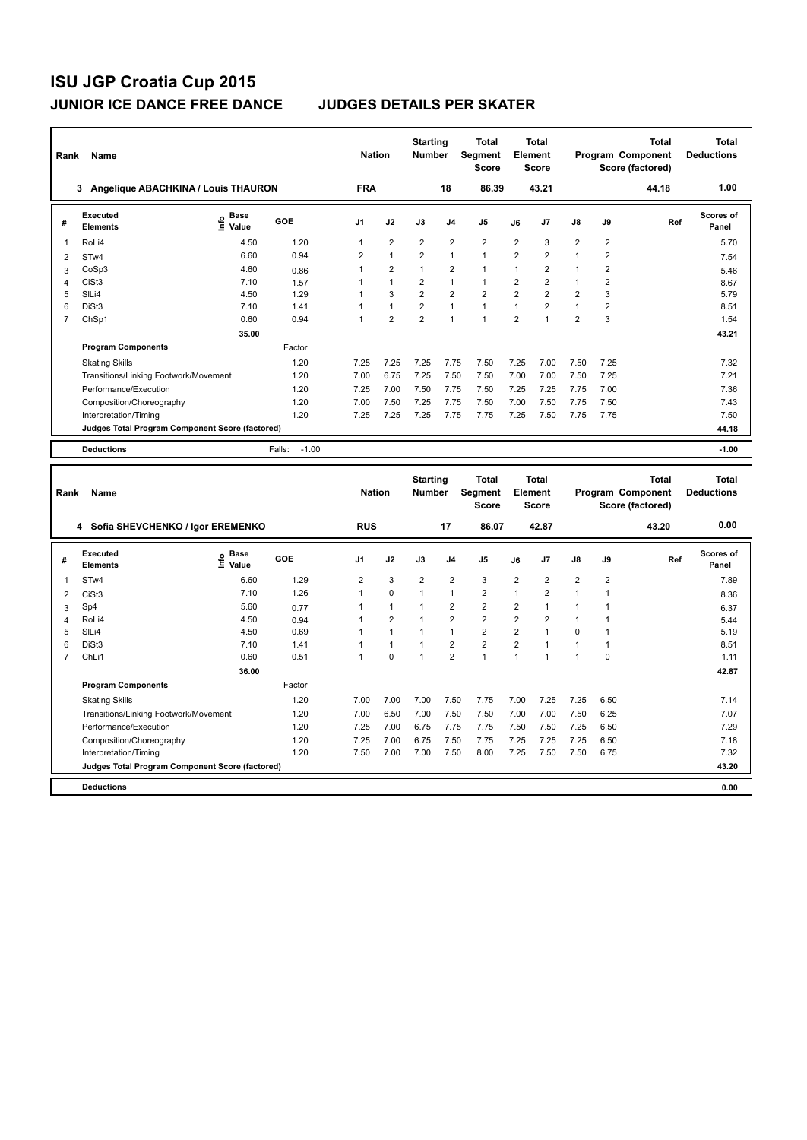| Rank | Name                                            |                            |                   | <b>Nation</b>  |                                  | <b>Starting</b><br><b>Number</b> |                                                | <b>Total</b><br>Segment<br><b>Score</b> |                                         | Total<br>Element<br><b>Score</b> |                |                                                       | <b>Total</b><br>Program Component<br>Score (factored) | Total<br><b>Deductions</b> |
|------|-------------------------------------------------|----------------------------|-------------------|----------------|----------------------------------|----------------------------------|------------------------------------------------|-----------------------------------------|-----------------------------------------|----------------------------------|----------------|-------------------------------------------------------|-------------------------------------------------------|----------------------------|
|      | Angelique ABACHKINA / Louis THAURON<br>3        |                            |                   | <b>FRA</b>     |                                  |                                  | 18                                             | 86.39                                   |                                         | 43.21                            |                |                                                       | 44.18                                                 | 1.00                       |
| #    | <b>Executed</b><br><b>Elements</b>              | <b>Base</b><br>۴۵<br>Value | GOE               | J <sub>1</sub> | J2                               | J3                               | J <sub>4</sub>                                 | J <sub>5</sub>                          | J6                                      | J7                               | $\mathsf{J}8$  | J9                                                    | Ref                                                   | Scores of<br>Panel         |
| 1    | RoLi4                                           | 4.50                       | 1.20              | $\mathbf{1}$   | $\overline{2}$                   | $\overline{2}$                   | $\overline{2}$                                 | $\overline{2}$                          | $\overline{2}$                          | 3                                | $\overline{2}$ | $\overline{\mathbf{c}}$                               |                                                       | 5.70                       |
| 2    | STw4                                            | 6.60                       | 0.94              | $\overline{2}$ | $\overline{1}$                   | $\overline{2}$                   | $\mathbf{1}$                                   | $\mathbf{1}$                            | $\overline{2}$                          | $\overline{2}$                   | $\mathbf{1}$   | $\overline{2}$                                        |                                                       | 7.54                       |
| 3    | CoSp3                                           | 4.60                       | 0.86              | 1              | $\overline{2}$                   | $\mathbf{1}$                     | $\overline{2}$                                 | $\mathbf{1}$                            | $\mathbf 1$                             | $\overline{2}$                   | $\mathbf{1}$   | $\overline{2}$                                        |                                                       | 5.46                       |
| 4    | CiSt <sub>3</sub>                               | 7.10                       | 1.57              | 1              | $\mathbf{1}$                     | 2                                | $\mathbf{1}$                                   | $\mathbf{1}$                            | 2                                       | 2                                | 1              | 2                                                     |                                                       | 8.67                       |
| 5    | SILi4                                           | 4.50                       | 1.29              | 1              | 3                                | $\overline{2}$                   | $\overline{2}$                                 | $\overline{2}$                          | $\overline{2}$                          | $\overline{2}$                   | $\overline{2}$ | 3                                                     |                                                       | 5.79                       |
| 6    | DiSt <sub>3</sub>                               | 7.10                       | 1.41              | 1              | $\blacktriangleleft$             | $\overline{2}$                   | $\mathbf{1}$                                   | $\mathbf{1}$                            | $\mathbf{1}$                            | $\overline{2}$                   | $\mathbf{1}$   | $\overline{2}$                                        |                                                       | 8.51                       |
| 7    | ChSp1                                           | 0.60                       | 0.94              | 1              | $\overline{2}$                   | $\overline{2}$                   | $\overline{1}$                                 | $\mathbf{1}$                            | $\overline{2}$                          | $\overline{1}$                   | $\overline{2}$ | 3                                                     |                                                       | 1.54                       |
|      |                                                 | 35.00                      |                   |                |                                  |                                  |                                                |                                         |                                         |                                  |                |                                                       |                                                       | 43.21                      |
|      | <b>Program Components</b>                       |                            | Factor            |                |                                  |                                  |                                                |                                         |                                         |                                  |                |                                                       |                                                       |                            |
|      | <b>Skating Skills</b>                           |                            | 1.20              | 7.25           | 7.25                             | 7.25                             | 7.75                                           | 7.50                                    | 7.25                                    | 7.00                             | 7.50           | 7.25                                                  |                                                       | 7.32                       |
|      | Transitions/Linking Footwork/Movement           |                            | 1.20              | 7.00           | 6.75                             | 7.25                             | 7.50                                           | 7.50                                    | 7.00                                    | 7.00                             | 7.50           | 7.25                                                  |                                                       | 7.21                       |
|      | Performance/Execution                           |                            | 1.20              | 7.25           | 7.00                             | 7.50                             | 7.75                                           | 7.50                                    | 7.25                                    | 7.25                             | 7.75           | 7.00                                                  |                                                       | 7.36                       |
|      | Composition/Choreography                        |                            | 1.20              | 7.00           | 7.50                             | 7.25                             | 7.75                                           | 7.50                                    | 7.00                                    | 7.50                             | 7.75           | 7.50                                                  |                                                       | 7.43                       |
|      | Interpretation/Timing                           |                            | 1.20              | 7.25           | 7.25                             | 7.25                             | 7.75                                           | 7.75                                    | 7.25                                    | 7.50                             | 7.75           | 7.75                                                  |                                                       | 7.50                       |
|      | Judges Total Program Component Score (factored) |                            |                   |                |                                  |                                  |                                                |                                         |                                         |                                  |                |                                                       |                                                       | 44.18                      |
|      | <b>Deductions</b>                               |                            | $-1.00$<br>Falls: |                |                                  |                                  |                                                |                                         |                                         |                                  |                |                                                       |                                                       | $-1.00$                    |
|      |                                                 |                            |                   |                |                                  |                                  |                                                |                                         |                                         |                                  |                |                                                       |                                                       |                            |
| Rank | Name                                            |                            | <b>Nation</b>     |                | <b>Starting</b><br><b>Number</b> |                                  | <b>Total</b><br><b>Segment</b><br><b>Score</b> |                                         | <b>Total</b><br>Element<br><b>Score</b> |                                  |                | <b>Total</b><br>Program Component<br>Score (factored) | <b>Total</b><br><b>Deductions</b>                     |                            |
|      | 4 Sofia SHEVCHENKO / Igor EREMENKO              |                            |                   | <b>RUS</b>     |                                  |                                  | 17                                             | 86.07                                   |                                         | 42.87                            |                |                                                       | 43.20                                                 | 0.00                       |

|                | 4<br>SOTIA SHEVUHENNU / IGOT EREMENNU           |                                  |            | หบอ            |                |                | 17             | 86.UZ                   |                | 44.87          |                |                | 43.ZU | v.vv               |
|----------------|-------------------------------------------------|----------------------------------|------------|----------------|----------------|----------------|----------------|-------------------------|----------------|----------------|----------------|----------------|-------|--------------------|
| #              | <b>Executed</b><br><b>Elements</b>              | <b>Base</b><br>e Base<br>E Value | <b>GOE</b> | J <sub>1</sub> | J2             | J3             | J <sub>4</sub> | J <sub>5</sub>          | J6             | J7             | J8             | J9             | Ref   | Scores of<br>Panel |
|                | STw4                                            | 6.60                             | 1.29       | $\overline{2}$ | 3              | $\overline{2}$ | $\overline{2}$ | 3                       | $\overline{2}$ | $\overline{2}$ | $\overline{2}$ | $\overline{2}$ |       | 7.89               |
| 2              | CiSt <sub>3</sub>                               | 7.10                             | 1.26       |                | $\mathbf 0$    |                | $\mathbf{1}$   | $\overline{2}$          | 1              | $\overline{2}$ | 1              |                |       | 8.36               |
| 3              | Sp4                                             | 5.60                             | 0.77       |                | 1              |                | $\overline{2}$ | $\overline{2}$          | 2              | 1              | 1              |                |       | 6.37               |
| $\overline{4}$ | RoLi4                                           | 4.50                             | 0.94       |                | $\overline{2}$ |                | $\overline{2}$ | $\overline{2}$          | $\overline{2}$ | $\overline{2}$ | 1              |                |       | 5.44               |
| 5              | SILi4                                           | 4.50                             | 0.69       |                |                |                | 1              | $\overline{2}$          | $\overline{2}$ | 1              | 0              |                |       | 5.19               |
| 6              | DiSt <sub>3</sub>                               | 7.10                             | 1.41       |                |                |                | $\overline{2}$ | $\overline{\mathbf{c}}$ | $\overline{2}$ |                | $\mathbf 1$    |                |       | 8.51               |
|                | ChL <sub>i1</sub>                               | 0.60                             | 0.51       |                | $\mathbf 0$    |                | $\overline{2}$ | $\overline{A}$          | 1              | 4              | 1              | 0              |       | 1.11               |
|                |                                                 | 36.00                            |            |                |                |                |                |                         |                |                |                |                |       | 42.87              |
|                | <b>Program Components</b>                       |                                  | Factor     |                |                |                |                |                         |                |                |                |                |       |                    |
|                | <b>Skating Skills</b>                           |                                  | 1.20       | 7.00           | 7.00           | 7.00           | 7.50           | 7.75                    | 7.00           | 7.25           | 7.25           | 6.50           |       | 7.14               |
|                | Transitions/Linking Footwork/Movement           |                                  | 1.20       | 7.00           | 6.50           | 7.00           | 7.50           | 7.50                    | 7.00           | 7.00           | 7.50           | 6.25           |       | 7.07               |
|                | Performance/Execution                           |                                  | 1.20       | 7.25           | 7.00           | 6.75           | 7.75           | 7.75                    | 7.50           | 7.50           | 7.25           | 6.50           |       | 7.29               |
|                | Composition/Choreography                        |                                  | 1.20       | 7.25           | 7.00           | 6.75           | 7.50           | 7.75                    | 7.25           | 7.25           | 7.25           | 6.50           |       | 7.18               |
|                | Interpretation/Timing                           |                                  | 1.20       | 7.50           | 7.00           | 7.00           | 7.50           | 8.00                    | 7.25           | 7.50           | 7.50           | 6.75           |       | 7.32               |
|                | Judges Total Program Component Score (factored) |                                  |            |                |                |                |                |                         |                |                |                |                |       | 43.20              |
|                | <b>Deductions</b>                               |                                  |            |                |                |                |                |                         |                |                |                |                |       | 0.00               |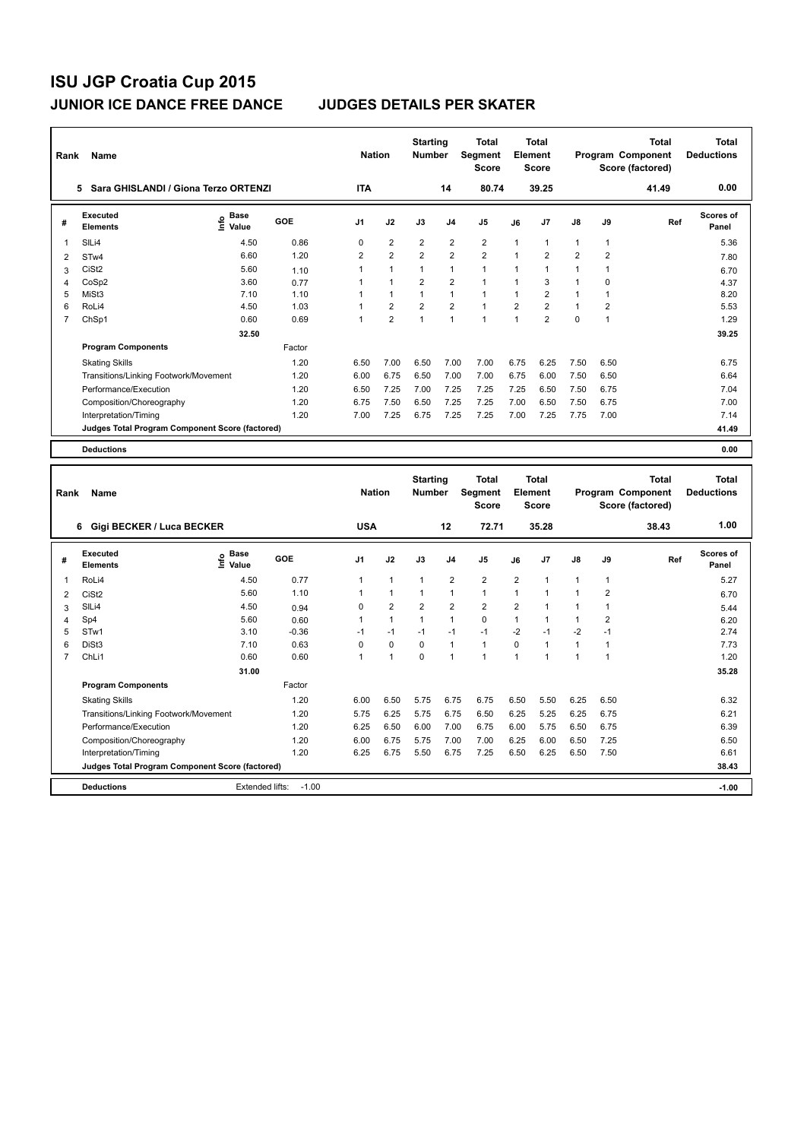| Rank           | Name                                            |                                             |        | <b>Nation</b>  |                      | <b>Starting</b><br><b>Number</b> |                | Total<br><b>Segment</b><br><b>Score</b> |                | <b>Total</b><br>Element<br><b>Score</b> |                |                | <b>Total</b><br>Program Component<br>Score (factored) | Total<br><b>Deductions</b> |
|----------------|-------------------------------------------------|---------------------------------------------|--------|----------------|----------------------|----------------------------------|----------------|-----------------------------------------|----------------|-----------------------------------------|----------------|----------------|-------------------------------------------------------|----------------------------|
|                | Sara GHISLANDI / Giona Terzo ORTENZI<br>5.      |                                             |        | <b>ITA</b>     |                      |                                  | 14             | 80.74                                   |                | 39.25                                   |                |                | 41.49                                                 | 0.00                       |
| #              | Executed<br><b>Elements</b>                     | <b>Base</b><br>e <sup>Base</sup><br>⊆ Value | GOE    | J <sub>1</sub> | J2                   | J3                               | J <sub>4</sub> | J <sub>5</sub>                          | J6             | J7                                      | J8             | J9             | Ref                                                   | Scores of<br>Panel         |
| 1              | SILi4                                           | 4.50                                        | 0.86   | 0              | $\overline{2}$       | $\overline{2}$                   | $\overline{2}$ | $\overline{2}$                          | $\mathbf{1}$   | $\mathbf{1}$                            | $\mathbf{1}$   | $\mathbf{1}$   |                                                       | 5.36                       |
| 2              | ST <sub>w</sub> 4                               | 6.60                                        | 1.20   | $\overline{2}$ | $\overline{2}$       | $\overline{2}$                   | $\overline{2}$ | $\overline{2}$                          | 1              | $\overline{2}$                          | $\overline{2}$ | $\overline{2}$ |                                                       | 7.80                       |
| 3              | CiSt <sub>2</sub>                               | 5.60                                        | 1.10   | 1              | $\blacktriangleleft$ | $\mathbf{1}$                     | $\mathbf{1}$   | $\mathbf{1}$                            | 1              | 1                                       | $\mathbf{1}$   | 1              |                                                       | 6.70                       |
| 4              | CoSp2                                           | 3.60                                        | 0.77   |                | $\overline{1}$       | $\overline{2}$                   | $\overline{2}$ | $\mathbf{1}$                            | 1              | 3                                       | $\mathbf{1}$   | 0              |                                                       | 4.37                       |
| 5              | MiSt <sub>3</sub>                               | 7.10                                        | 1.10   |                | $\mathbf{1}$         | $\mathbf{1}$                     | $\mathbf{1}$   | $\mathbf{1}$                            | $\mathbf{1}$   | $\overline{2}$                          | 1              | 1              |                                                       | 8.20                       |
| 6              | RoLi4                                           | 4.50                                        | 1.03   |                | $\overline{2}$       | $\overline{2}$                   | $\overline{2}$ | $\mathbf{1}$                            | $\overline{2}$ | $\overline{2}$                          | $\mathbf{1}$   | 2              |                                                       | 5.53                       |
| $\overline{7}$ | ChSp1                                           | 0.60                                        | 0.69   | 1              | $\overline{2}$       | $\overline{1}$                   | $\overline{1}$ | $\mathbf{1}$                            | $\mathbf{1}$   | $\overline{2}$                          | $\Omega$       | 1              |                                                       | 1.29                       |
|                |                                                 | 32.50                                       |        |                |                      |                                  |                |                                         |                |                                         |                |                |                                                       | 39.25                      |
|                | <b>Program Components</b>                       |                                             | Factor |                |                      |                                  |                |                                         |                |                                         |                |                |                                                       |                            |
|                | <b>Skating Skills</b>                           |                                             | 1.20   | 6.50           | 7.00                 | 6.50                             | 7.00           | 7.00                                    | 6.75           | 6.25                                    | 7.50           | 6.50           |                                                       | 6.75                       |
|                | Transitions/Linking Footwork/Movement           |                                             | 1.20   | 6.00           | 6.75                 | 6.50                             | 7.00           | 7.00                                    | 6.75           | 6.00                                    | 7.50           | 6.50           |                                                       | 6.64                       |
|                | Performance/Execution                           |                                             | 1.20   | 6.50           | 7.25                 | 7.00                             | 7.25           | 7.25                                    | 7.25           | 6.50                                    | 7.50           | 6.75           |                                                       | 7.04                       |
|                | Composition/Choreography                        |                                             | 1.20   | 6.75           | 7.50                 | 6.50                             | 7.25           | 7.25                                    | 7.00           | 6.50                                    | 7.50           | 6.75           |                                                       | 7.00                       |
|                | Interpretation/Timing                           |                                             | 1.20   | 7.00           | 7.25                 | 6.75                             | 7.25           | 7.25                                    | 7.00           | 7.25                                    | 7.75           | 7.00           |                                                       | 7.14                       |
|                | Judges Total Program Component Score (factored) |                                             |        |                |                      |                                  |                |                                         |                |                                         |                |                |                                                       | 41.49                      |
|                | <b>Deductions</b>                               |                                             |        |                |                      |                                  |                |                                         |                |                                         |                |                |                                                       | 0.00                       |
|                |                                                 |                                             |        |                |                      | <b>Starting</b>                  |                | <b>Total</b>                            |                | <b>Total</b>                            |                |                | <b>Total</b>                                          | <b>Total</b>               |

| Rank | Name                                            |                              |         | <b>Nation</b>  |                | Starting<br><b>Number</b> |                | ιοται<br>Segment<br><b>Score</b> |                      | ιοται<br>Element<br><b>Score</b> |                      |      | ιοται<br>Program Component<br>Score (factored) | Total<br><b>Deductions</b> |
|------|-------------------------------------------------|------------------------------|---------|----------------|----------------|---------------------------|----------------|----------------------------------|----------------------|----------------------------------|----------------------|------|------------------------------------------------|----------------------------|
|      | Gigi BECKER / Luca BECKER<br>6                  |                              |         | <b>USA</b>     |                |                           | 12             | 72.71                            |                      | 35.28                            |                      |      | 38.43                                          | 1.00                       |
| #    | Executed<br><b>Elements</b>                     | <b>Base</b><br>١π۴ο<br>Value | GOE     | J <sub>1</sub> | J2             | J3                        | J <sub>4</sub> | J <sub>5</sub>                   | J6                   | J7                               | J8                   | J9   | Ref                                            | <b>Scores of</b><br>Panel  |
| 1    | RoLi4                                           | 4.50                         | 0.77    | 1              | $\overline{1}$ | $\overline{1}$            | $\overline{2}$ | $\overline{2}$                   | $\overline{2}$       |                                  | $\mathbf{1}$         |      |                                                | 5.27                       |
| 2    | CiSt <sub>2</sub>                               | 5.60                         | 1.10    |                | $\overline{1}$ | 1                         | 1              | $\mathbf{1}$                     | $\blacktriangleleft$ |                                  | 1                    | 2    |                                                | 6.70                       |
| 3    | SILi4                                           | 4.50                         | 0.94    | 0              | $\overline{2}$ | $\overline{2}$            | $\overline{2}$ | $\overline{2}$                   | $\overline{2}$       |                                  |                      |      |                                                | 5.44                       |
| 4    | Sp4                                             | 5.60                         | 0.60    |                | 1              | 1                         | $\overline{1}$ | $\mathbf 0$                      |                      |                                  |                      | 2    |                                                | 6.20                       |
| 5    | STw1                                            | 3.10                         | $-0.36$ | -1             | $-1$           | $-1$                      | $-1$           | $-1$                             | $-2$                 | $-1$                             | $-2$                 | $-1$ |                                                | 2.74                       |
| 6    | DiSt <sub>3</sub>                               | 7.10                         | 0.63    | 0              | $\mathbf 0$    | 0                         | $\overline{1}$ | $\mathbf{1}$                     | $\Omega$             |                                  | $\blacktriangleleft$ |      |                                                | 7.73                       |
| 7    | ChLi1                                           | 0.60                         | 0.60    | 1              | 1              | $\Omega$                  | $\overline{ }$ | $\overline{ }$                   | $\overline{ }$       |                                  |                      |      |                                                | 1.20                       |
|      |                                                 | 31.00                        |         |                |                |                           |                |                                  |                      |                                  |                      |      |                                                | 35.28                      |
|      | <b>Program Components</b>                       |                              | Factor  |                |                |                           |                |                                  |                      |                                  |                      |      |                                                |                            |
|      | <b>Skating Skills</b>                           |                              | 1.20    | 6.00           | 6.50           | 5.75                      | 6.75           | 6.75                             | 6.50                 | 5.50                             | 6.25                 | 6.50 |                                                | 6.32                       |
|      | Transitions/Linking Footwork/Movement           |                              | 1.20    | 5.75           | 6.25           | 5.75                      | 6.75           | 6.50                             | 6.25                 | 5.25                             | 6.25                 | 6.75 |                                                | 6.21                       |
|      | Performance/Execution                           |                              | 1.20    | 6.25           | 6.50           | 6.00                      | 7.00           | 6.75                             | 6.00                 | 5.75                             | 6.50                 | 6.75 |                                                | 6.39                       |
|      | Composition/Choreography                        |                              | 1.20    | 6.00           | 6.75           | 5.75                      | 7.00           | 7.00                             | 6.25                 | 6.00                             | 6.50                 | 7.25 |                                                | 6.50                       |
|      | Interpretation/Timing                           |                              | 1.20    | 6.25           | 6.75           | 5.50                      | 6.75           | 7.25                             | 6.50                 | 6.25                             | 6.50                 | 7.50 |                                                | 6.61                       |
|      | Judges Total Program Component Score (factored) |                              |         |                |                |                           |                |                                  |                      |                                  |                      |      |                                                | 38.43                      |
|      | <b>Deductions</b>                               | Extended lifts:              | $-1.00$ |                |                |                           |                |                                  |                      |                                  |                      |      |                                                | $-1.00$                    |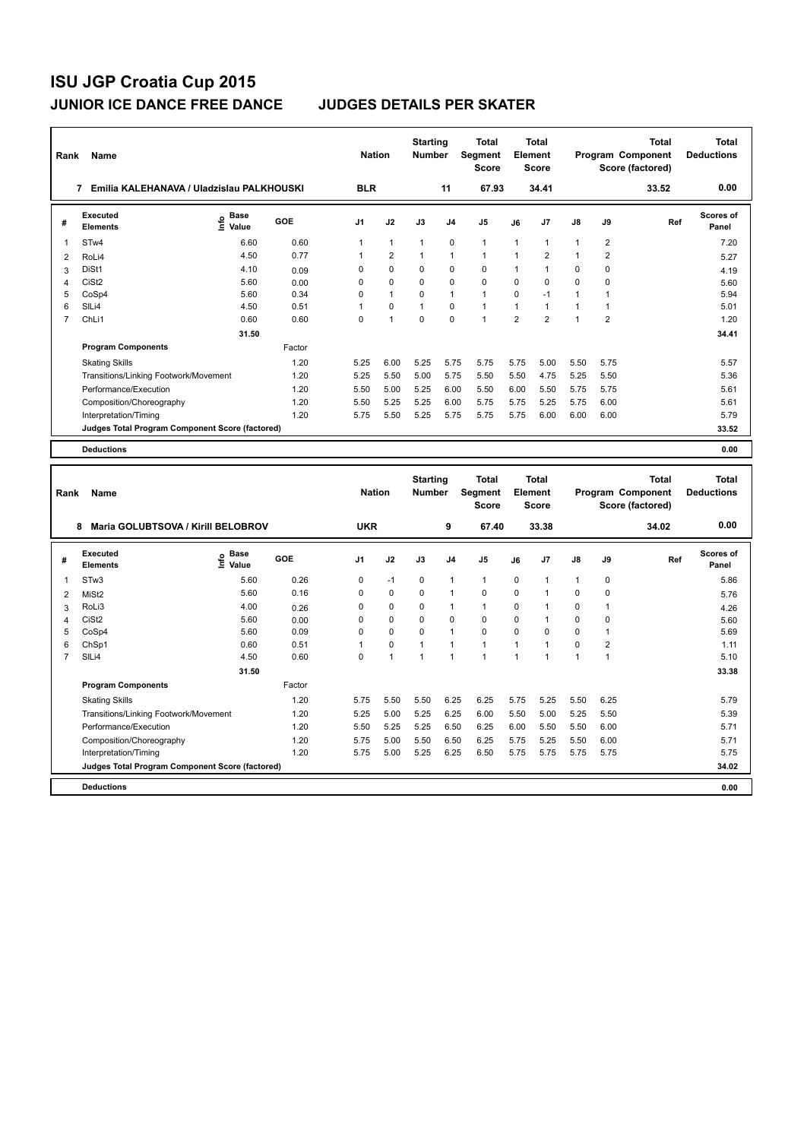| Rank           | Name                                            |                            |        | <b>Nation</b>  |                | <b>Starting</b><br>Number |                | <b>Total</b><br>Segment<br><b>Score</b> |                | Total<br>Element<br><b>Score</b> |               |                         | <b>Total</b><br>Program Component<br>Score (factored) | <b>Total</b><br><b>Deductions</b> |
|----------------|-------------------------------------------------|----------------------------|--------|----------------|----------------|---------------------------|----------------|-----------------------------------------|----------------|----------------------------------|---------------|-------------------------|-------------------------------------------------------|-----------------------------------|
|                | Emilia KALEHANAVA / Uladzislau PALKHOUSKI<br>7  |                            |        | <b>BLR</b>     |                |                           | 11             | 67.93                                   |                | 34.41                            |               |                         | 33.52                                                 | 0.00                              |
| #              | <b>Executed</b><br><b>Elements</b>              | <b>Base</b><br>۴٥<br>Value | GOE    | J <sub>1</sub> | J2             | J3                        | J <sub>4</sub> | J <sub>5</sub>                          | J6             | J7                               | $\mathsf{J}8$ | J9                      | Ref                                                   | <b>Scores of</b><br>Panel         |
| 1              | STw4                                            | 6.60                       | 0.60   | 1              | $\overline{1}$ | $\mathbf{1}$              | $\mathbf 0$    | $\mathbf{1}$                            | $\mathbf{1}$   | $\mathbf{1}$                     | 1             | $\overline{\mathbf{c}}$ |                                                       | 7.20                              |
| $\overline{2}$ | RoLi4                                           | 4.50                       | 0.77   | $\mathbf{1}$   | $\overline{2}$ | $\mathbf{1}$              | $\mathbf{1}$   | $\mathbf{1}$                            | $\mathbf{1}$   | $\overline{2}$                   | $\mathbf{1}$  | $\overline{2}$          |                                                       | 5.27                              |
| 3              | DiSt1                                           | 4.10                       | 0.09   | $\Omega$       | $\Omega$       | $\Omega$                  | $\mathbf 0$    | $\mathbf 0$                             | 1              | $\mathbf{1}$                     | $\Omega$      | $\Omega$                |                                                       | 4.19                              |
| $\overline{4}$ | CiSt <sub>2</sub>                               | 5.60                       | 0.00   | 0              | $\Omega$       | $\Omega$                  | $\mathbf 0$    | $\Omega$                                | $\Omega$       | $\Omega$                         | $\Omega$      | 0                       |                                                       | 5.60                              |
| 5              | CoSp4                                           | 5.60                       | 0.34   | 0              | $\overline{1}$ | $\mathbf 0$               | $\mathbf{1}$   | $\mathbf{1}$                            | $\Omega$       | $-1$                             | $\mathbf{1}$  | 1                       |                                                       | 5.94                              |
| 6              | SILi4                                           | 4.50                       | 0.51   | 1              | $\mathbf 0$    | $\mathbf{1}$              | $\mathbf 0$    | $\mathbf{1}$                            | 1              | $\mathbf{1}$                     | $\mathbf{1}$  | $\mathbf{1}$            |                                                       | 5.01                              |
| $\overline{7}$ | ChLi1                                           | 0.60                       | 0.60   | $\Omega$       | $\overline{1}$ | $\Omega$                  | $\Omega$       | $\mathbf{1}$                            | $\overline{2}$ | $\overline{2}$                   | $\mathbf{1}$  | $\overline{2}$          |                                                       | 1.20                              |
|                |                                                 | 31.50                      |        |                |                |                           |                |                                         |                |                                  |               |                         |                                                       | 34.41                             |
|                | <b>Program Components</b>                       |                            | Factor |                |                |                           |                |                                         |                |                                  |               |                         |                                                       |                                   |
|                | <b>Skating Skills</b>                           |                            | 1.20   | 5.25           | 6.00           | 5.25                      | 5.75           | 5.75                                    | 5.75           | 5.00                             | 5.50          | 5.75                    |                                                       | 5.57                              |
|                | Transitions/Linking Footwork/Movement           |                            | 1.20   | 5.25           | 5.50           | 5.00                      | 5.75           | 5.50                                    | 5.50           | 4.75                             | 5.25          | 5.50                    |                                                       | 5.36                              |
|                | Performance/Execution                           |                            | 1.20   | 5.50           | 5.00           | 5.25                      | 6.00           | 5.50                                    | 6.00           | 5.50                             | 5.75          | 5.75                    |                                                       | 5.61                              |
|                | Composition/Choreography                        |                            | 1.20   | 5.50           | 5.25           | 5.25                      | 6.00           | 5.75                                    | 5.75           | 5.25                             | 5.75          | 6.00                    |                                                       | 5.61                              |
|                | Interpretation/Timing                           |                            | 1.20   | 5.75           | 5.50           | 5.25                      | 5.75           | 5.75                                    | 5.75           | 6.00                             | 6.00          | 6.00                    |                                                       | 5.79                              |
|                | Judges Total Program Component Score (factored) |                            |        |                |                |                           |                |                                         |                |                                  |               |                         |                                                       | 33.52                             |
|                | <b>Deductions</b>                               |                            |        |                |                |                           |                |                                         |                |                                  |               |                         |                                                       | 0.00                              |
|                |                                                 |                            |        |                |                |                           |                |                                         |                |                                  |               |                         |                                                       |                                   |
| Rank           | Name                                            |                            |        | <b>Nation</b>  |                | <b>Starting</b><br>Number |                | Total<br>Segment<br><b>Score</b>        |                | Total<br>Element<br><b>Score</b> |               |                         | <b>Total</b><br>Program Component<br>Score (factored) | Total<br><b>Deductions</b>        |
|                | Maria GOLUBTSOVA / Kirill BELOBROV<br>8         |                            |        | <b>UKR</b>     |                |                           | 9              | 67.40                                   |                | 33.38                            |               |                         | 34.02                                                 | 0.00                              |
| #              | Executed                                        | $e$ Base                   | GOF    | $\mathbf{14}$  | $\mathbf{12}$  | $\overline{\mathbf{3}}$   | $\mathbf{A}$   | 15                                      | IC.            | 17                               | 18            | ١Q                      | <b>Pof</b>                                            | Scores of                         |

| # | <b>Executed</b><br><b>Elements</b>              | $\sum_{k=1}^{\infty}$ Value | GOE    | J <sub>1</sub> | J2                   | J3       | J <sub>4</sub>          | J5       | J6       | J7   | J8       | J9          | Ref | <b>Scores of</b><br>Panel |
|---|-------------------------------------------------|-----------------------------|--------|----------------|----------------------|----------|-------------------------|----------|----------|------|----------|-------------|-----|---------------------------|
| 1 | ST <sub>w</sub> 3                               | 5.60                        | 0.26   | 0              | $-1$                 | 0        | 1                       |          | 0        |      | 1        | $\mathbf 0$ |     | 5.86                      |
| 2 | MiSt <sub>2</sub>                               | 5.60                        | 0.16   | 0              | $\mathbf 0$          | 0        | $\mathbf{1}$            | $\Omega$ | 0        |      | 0        | 0           |     | 5.76                      |
| 3 | RoLi3                                           | 4.00                        | 0.26   | $\Omega$       | 0                    | $\Omega$ | 1                       |          | $\Omega$ |      | $\Omega$ |             |     | 4.26                      |
| 4 | CiSt <sub>2</sub>                               | 5.60                        | 0.00   | 0              | 0                    | 0        | 0                       | 0        | 0        |      | 0        | $\Omega$    |     | 5.60                      |
| 5 | CoSp4                                           | 5.60                        | 0.09   | 0              | 0                    | 0        | $\overline{1}$          | 0        | 0        | 0    | 0        |             |     | 5.69                      |
| 6 | ChSp1                                           | 0.60                        | 0.51   |                | 0                    |          |                         |          |          |      | 0        | 2           |     | 1.11                      |
|   | SILi4                                           | 4.50                        | 0.60   | $\Omega$       | $\blacktriangleleft$ |          | $\overline{\mathbf{1}}$ |          |          |      |          |             |     | 5.10                      |
|   |                                                 | 31.50                       |        |                |                      |          |                         |          |          |      |          |             |     | 33.38                     |
|   | <b>Program Components</b>                       |                             | Factor |                |                      |          |                         |          |          |      |          |             |     |                           |
|   | <b>Skating Skills</b>                           |                             | 1.20   | 5.75           | 5.50                 | 5.50     | 6.25                    | 6.25     | 5.75     | 5.25 | 5.50     | 6.25        |     | 5.79                      |
|   | Transitions/Linking Footwork/Movement           |                             | 1.20   | 5.25           | 5.00                 | 5.25     | 6.25                    | 6.00     | 5.50     | 5.00 | 5.25     | 5.50        |     | 5.39                      |
|   | Performance/Execution                           |                             | 1.20   | 5.50           | 5.25                 | 5.25     | 6.50                    | 6.25     | 6.00     | 5.50 | 5.50     | 6.00        |     | 5.71                      |
|   | Composition/Choreography                        |                             | 1.20   | 5.75           | 5.00                 | 5.50     | 6.50                    | 6.25     | 5.75     | 5.25 | 5.50     | 6.00        |     | 5.71                      |
|   | Interpretation/Timing                           |                             | 1.20   | 5.75           | 5.00                 | 5.25     | 6.25                    | 6.50     | 5.75     | 5.75 | 5.75     | 5.75        |     | 5.75                      |
|   | Judges Total Program Component Score (factored) |                             |        |                |                      |          |                         |          |          |      |          |             |     | 34.02                     |
|   | <b>Deductions</b>                               |                             |        |                |                      |          |                         |          |          |      |          |             |     | 0.00                      |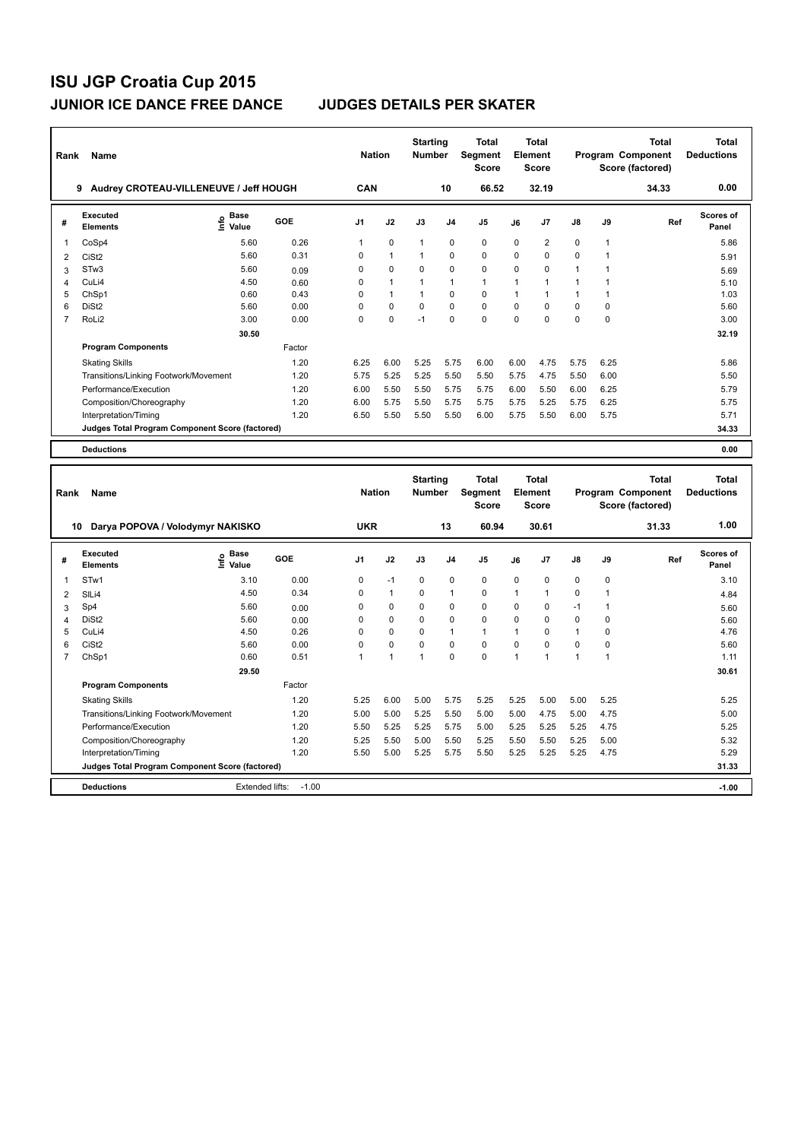| Rank           | Name                                            |                            |            | <b>Nation</b> |                | <b>Starting</b><br><b>Number</b> |                | <b>Total</b><br>Segment<br><b>Score</b> |          | Total<br>Element<br><b>Score</b> |              |              | <b>Total</b><br>Program Component<br>Score (factored) | <b>Total</b><br><b>Deductions</b> |
|----------------|-------------------------------------------------|----------------------------|------------|---------------|----------------|----------------------------------|----------------|-----------------------------------------|----------|----------------------------------|--------------|--------------|-------------------------------------------------------|-----------------------------------|
|                | Audrey CROTEAU-VILLENEUVE / Jeff HOUGH<br>9     |                            |            | CAN           |                |                                  | 10             | 66.52                                   |          | 32.19                            |              |              | 34.33                                                 | 0.00                              |
| #              | <b>Executed</b><br><b>Elements</b>              | <b>Base</b><br>۴ů<br>Value | <b>GOE</b> | J1            | J2             | J3                               | J <sub>4</sub> | J <sub>5</sub>                          | J6       | J7                               | J8           | J9           | Ref                                                   | Scores of<br>Panel                |
| 1              | CoSp4                                           | 5.60                       | 0.26       | $\mathbf{1}$  | 0              | $\mathbf{1}$                     | 0              | 0                                       | 0        | 2                                | 0            | 1            |                                                       | 5.86                              |
| 2              | CiSt <sub>2</sub>                               | 5.60                       | 0.31       | $\Omega$      | $\overline{1}$ | $\mathbf{1}$                     | $\mathbf 0$    | 0                                       | $\Omega$ | $\Omega$                         | 0            | $\mathbf{1}$ |                                                       | 5.91                              |
| 3              | STw <sub>3</sub>                                | 5.60                       | 0.09       | 0             | $\Omega$       | $\Omega$                         | $\mathbf 0$    | $\Omega$                                | $\Omega$ | 0                                | $\mathbf{1}$ | $\mathbf{1}$ |                                                       | 5.69                              |
| 4              | CuLi4                                           | 4.50                       | 0.60       | 0             | $\mathbf{1}$   | 1                                | $\mathbf{1}$   | $\mathbf{1}$                            | 1        | 1                                | $\mathbf{1}$ | 1            |                                                       | 5.10                              |
| 5              | ChSp1                                           | 0.60                       | 0.43       | 0             | $\mathbf{1}$   | 1                                | $\mathbf 0$    | 0                                       | 1        | $\mathbf{1}$                     | $\mathbf{1}$ | 1            |                                                       | 1.03                              |
| 6              | DiSt <sub>2</sub>                               | 5.60                       | 0.00       | 0             | $\mathbf 0$    | $\mathbf 0$                      | $\mathbf 0$    | $\mathbf 0$                             | 0        | 0                                | $\mathbf 0$  | 0            |                                                       | 5.60                              |
| $\overline{7}$ | RoLi2                                           | 3.00                       | 0.00       | $\Omega$      | $\mathbf 0$    | $-1$                             | $\mathbf 0$    | $\mathbf 0$                             | $\Omega$ | $\Omega$                         | 0            | $\mathbf 0$  |                                                       | 3.00                              |
|                |                                                 | 30.50                      |            |               |                |                                  |                |                                         |          |                                  |              |              |                                                       | 32.19                             |
|                | <b>Program Components</b>                       |                            | Factor     |               |                |                                  |                |                                         |          |                                  |              |              |                                                       |                                   |
|                | <b>Skating Skills</b>                           |                            | 1.20       | 6.25          | 6.00           | 5.25                             | 5.75           | 6.00                                    | 6.00     | 4.75                             | 5.75         | 6.25         |                                                       | 5.86                              |
|                | Transitions/Linking Footwork/Movement           |                            | 1.20       | 5.75          | 5.25           | 5.25                             | 5.50           | 5.50                                    | 5.75     | 4.75                             | 5.50         | 6.00         |                                                       | 5.50                              |
|                | Performance/Execution                           |                            | 1.20       | 6.00          | 5.50           | 5.50                             | 5.75           | 5.75                                    | 6.00     | 5.50                             | 6.00         | 6.25         |                                                       | 5.79                              |
|                | Composition/Choreography                        |                            | 1.20       | 6.00          | 5.75           | 5.50                             | 5.75           | 5.75                                    | 5.75     | 5.25                             | 5.75         | 6.25         |                                                       | 5.75                              |
|                | Interpretation/Timing                           |                            | 1.20       | 6.50          | 5.50           | 5.50                             | 5.50           | 6.00                                    | 5.75     | 5.50                             | 6.00         | 5.75         |                                                       | 5.71                              |
|                | Judges Total Program Component Score (factored) |                            |            |               |                |                                  |                |                                         |          |                                  |              |              |                                                       | 34.33                             |
|                | <b>Deductions</b>                               |                            |            |               |                |                                  |                |                                         |          |                                  |              |              |                                                       | 0.00                              |
| Rank           | Name                                            |                            |            | <b>Nation</b> |                | <b>Starting</b><br>Number        |                | <b>Total</b><br>Segment<br><b>Score</b> |          | Total<br>Element<br><b>Score</b> |              |              | <b>Total</b><br>Program Component<br>Score (factored) | <b>Total</b><br><b>Deductions</b> |
|                | Darya POPOVA / Volodymyr NAKISKO<br>10          |                            |            | <b>UKR</b>    |                |                                  | 13             | 60.94                                   |          | 30.61                            |              |              | 31.33                                                 | 1.00                              |
| #              | <b>Executed</b><br><b>Elements</b>              | <b>Base</b><br>١m<br>Value | <b>GOE</b> | J1            | J2             | J3                               | J4             | J <sub>5</sub>                          | J6       | J7                               | J8           | J9           | Ref                                                   | Scores of<br>Panel                |
| 1              | STw1                                            | 3.10                       | 0.00       | 0             | $-1$           | 0                                | $\mathbf 0$    | 0                                       | 0        | 0                                | 0            | 0            |                                                       | 3.10                              |
| $\overline{2}$ | SILi4                                           | 4.50                       | 0.34       | 0             | $\mathbf{1}$   | 0                                | $\mathbf{1}$   | 0                                       | 1        | $\mathbf{1}$                     | 0            | 1            |                                                       | 4.84                              |
| 3              | Sp4                                             | 5.60                       | 0.00       | 0             | 0              | 0                                | $\mathbf 0$    | 0                                       | 0        | 0                                | $-1$         | $\mathbf{1}$ |                                                       | 5.60                              |
| 4              | DiSt <sub>2</sub>                               | 5.60                       | 0.00       | 0             | $\Omega$       | $\Omega$                         | $\Omega$       | $\mathbf 0$                             | $\Omega$ | $\Omega$                         | $\Omega$     | 0            |                                                       | 5.60                              |

|    | <b>Deductions</b>                               | Extended lifts: | $-1.00$     |          |      |          |          |      |      |      |          |      | $-1.00$ |
|----|-------------------------------------------------|-----------------|-------------|----------|------|----------|----------|------|------|------|----------|------|---------|
|    | Judges Total Program Component Score (factored) |                 |             |          |      |          |          |      |      |      |          |      | 31.33   |
|    | Interpretation/Timing                           |                 | 1.20        | 5.50     | 5.00 | 5.25     | 5.75     | 5.50 | 5.25 | 5.25 | 5.25     | 4.75 | 5.29    |
|    | Composition/Choreography                        |                 | 1.20        | 5.25     | 5.50 | 5.00     | 5.50     | 5.25 | 5.50 | 5.50 | 5.25     | 5.00 | 5.32    |
|    | Performance/Execution                           |                 | 1.20        | 5.50     | 5.25 | 5.25     | 5.75     | 5.00 | 5.25 | 5.25 | 5.25     | 4.75 | 5.25    |
|    | Transitions/Linking Footwork/Movement           |                 | 1.20        | 5.00     | 5.00 | 5.25     | 5.50     | 5.00 | 5.00 | 4.75 | 5.00     | 4.75 | 5.00    |
|    | <b>Skating Skills</b>                           |                 | 1.20        | 5.25     | 6.00 | 5.00     | 5.75     | 5.25 | 5.25 | 5.00 | 5.00     | 5.25 | 5.25    |
|    | <b>Program Components</b>                       |                 | Factor      |          |      |          |          |      |      |      |          |      |         |
|    |                                                 | 29.50           |             |          |      |          |          |      |      |      |          |      | 30.61   |
|    | ChSp1                                           | 0.60            | 0.51        |          |      |          | $\Omega$ | 0    |      |      |          |      | 1.11    |
| 6  | CiSt <sub>2</sub>                               | 5.60            | 0.00        | 0        | 0    | 0        | $\Omega$ | 0    | 0    | 0    | 0        | 0    | 5.60    |
| 5. | CuLi4                                           | 4.50            | 0.26        | $\Omega$ | 0    | $\Omega$ |          |      |      | 0    |          | 0    | 4.76    |
|    | DiSt <sub>2</sub>                               | 5.60            | 0.00        | 0        | 0    | 0        | $\Omega$ | 0    | 0    | 0    | 0        | 0    | 5.60    |
| 3. | Op4                                             | O.OU            | <b>U.UU</b> | υ        | v    | v        | u        | v    | v    | u    | $\sim$ 1 |      | 5.60    |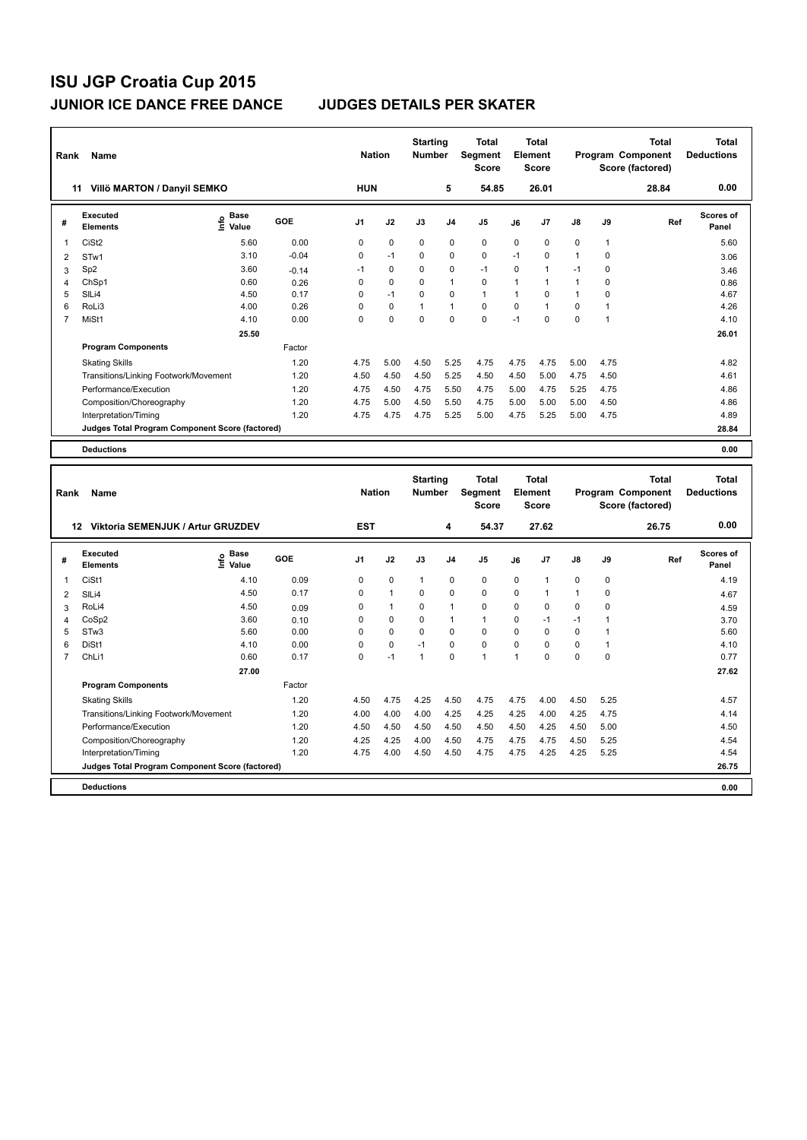| Rank           | Name                                            |                            |         | <b>Nation</b>  |                | <b>Starting</b><br><b>Number</b> |                | Total<br>Segment<br><b>Score</b>        |                | <b>Total</b><br>Element<br><b>Score</b> |              |              | <b>Total</b><br>Program Component<br>Score (factored) | Total<br><b>Deductions</b>        |
|----------------|-------------------------------------------------|----------------------------|---------|----------------|----------------|----------------------------------|----------------|-----------------------------------------|----------------|-----------------------------------------|--------------|--------------|-------------------------------------------------------|-----------------------------------|
|                | Villö MARTON / Danyil SEMKO<br>11               |                            |         | <b>HUN</b>     |                |                                  | 5              | 54.85                                   |                | 26.01                                   |              |              | 28.84                                                 | 0.00                              |
| #              | Executed<br><b>Elements</b>                     | <b>Base</b><br>۴o<br>Value | GOE     | J <sub>1</sub> | J2             | J3                               | J <sub>4</sub> | J5                                      | J6             | J7                                      | J8           | J9           | Ref                                                   | <b>Scores of</b><br>Panel         |
| 1              | CiSt <sub>2</sub>                               | 5.60                       | 0.00    | 0              | $\mathbf 0$    | $\mathbf 0$                      | $\mathbf 0$    | $\mathbf 0$                             | 0              | 0                                       | 0            | $\mathbf{1}$ |                                                       | 5.60                              |
| $\overline{2}$ | STw1                                            | 3.10                       | $-0.04$ | 0              | $-1$           | 0                                | 0              | $\mathbf 0$                             | $-1$           | 0                                       | $\mathbf{1}$ | 0            |                                                       | 3.06                              |
| 3              | Sp <sub>2</sub>                                 | 3.60                       | $-0.14$ | $-1$           | 0              | 0                                | 0              | $-1$                                    | 0              | 1                                       | $-1$         | 0            |                                                       | 3.46                              |
| 4              | ChSp1                                           | 0.60                       | 0.26    | 0              | 0              | 0                                | $\mathbf{1}$   | $\mathbf 0$                             | 1              | $\mathbf{1}$                            | 1            | 0            |                                                       | 0.86                              |
| 5              | SILi4                                           | 4.50                       | 0.17    | 0              | $-1$           | 0                                | $\mathbf 0$    | $\overline{1}$                          | $\mathbf{1}$   | $\Omega$                                | $\mathbf{1}$ | 0            |                                                       | 4.67                              |
| 6              | RoLi3                                           | 4.00                       | 0.26    | 0              | 0              | 1                                | $\overline{1}$ | $\pmb{0}$                               | 0              | 1                                       | 0            | $\mathbf{1}$ |                                                       | 4.26                              |
| $\overline{7}$ | MiSt1                                           | 4.10                       | 0.00    | 0              | 0              | $\Omega$                         | $\Omega$       | $\Omega$                                | $-1$           | $\Omega$                                | $\mathbf 0$  | $\mathbf{1}$ |                                                       | 4.10                              |
|                |                                                 | 25.50                      |         |                |                |                                  |                |                                         |                |                                         |              |              |                                                       | 26.01                             |
|                | <b>Program Components</b>                       |                            | Factor  |                |                |                                  |                |                                         |                |                                         |              |              |                                                       |                                   |
|                | <b>Skating Skills</b>                           |                            | 1.20    | 4.75           | 5.00           | 4.50                             | 5.25           | 4.75                                    | 4.75           | 4.75                                    | 5.00         | 4.75         |                                                       | 4.82                              |
|                | Transitions/Linking Footwork/Movement           |                            | 1.20    | 4.50           | 4.50           | 4.50                             | 5.25           | 4.50                                    | 4.50           | 5.00                                    | 4.75         | 4.50         |                                                       | 4.61                              |
|                | Performance/Execution                           |                            | 1.20    | 4.75           | 4.50           | 4.75                             | 5.50           | 4.75                                    | 5.00           | 4.75                                    | 5.25         | 4.75         |                                                       | 4.86                              |
|                | Composition/Choreography                        |                            | 1.20    | 4.75           | 5.00           | 4.50                             | 5.50           | 4.75                                    | 5.00           | 5.00                                    | 5.00         | 4.50         |                                                       | 4.86                              |
|                | Interpretation/Timing                           |                            | 1.20    | 4.75           | 4.75           | 4.75                             | 5.25           | 5.00                                    | 4.75           | 5.25                                    | 5.00         | 4.75         |                                                       | 4.89                              |
|                | Judges Total Program Component Score (factored) |                            |         |                |                |                                  |                |                                         |                |                                         |              |              |                                                       | 28.84                             |
|                | <b>Deductions</b>                               |                            |         |                |                |                                  |                |                                         |                |                                         |              |              |                                                       | 0.00                              |
|                |                                                 |                            |         |                |                |                                  |                |                                         |                |                                         |              |              |                                                       |                                   |
| Rank           | Name                                            |                            |         | <b>Nation</b>  |                | <b>Starting</b><br><b>Number</b> |                | <b>Total</b><br>Segment<br><b>Score</b> |                | <b>Total</b><br>Element<br><b>Score</b> |              |              | <b>Total</b><br>Program Component<br>Score (factored) | <b>Total</b><br><b>Deductions</b> |
|                | 12 Viktoria SEMENJUK / Artur GRUZDEV            |                            |         | <b>EST</b>     |                |                                  | 4              | 54.37                                   |                | 27.62                                   |              |              | 26.75                                                 | 0.00                              |
| #              | <b>Executed</b><br><b>Elements</b>              | Base<br>١mfo<br>Value      | GOE     | J1             | J2             | J3                               | J4             | J5                                      | J6             | J7                                      | J8           | J9           | Ref                                                   | <b>Scores of</b><br>Panel         |
| 1              | CiSt1                                           | 4.10                       | 0.09    | 0              | 0              | $\mathbf{1}$                     | $\mathbf 0$    | $\pmb{0}$                               | 0              | 1                                       | 0            | 0            |                                                       | 4.19                              |
| 2              | SILi4                                           | 4.50                       | 0.17    | 0              | $\mathbf{1}$   | 0                                | $\mathbf 0$    | $\mathbf 0$                             | $\mathbf 0$    | $\mathbf{1}$                            | $\mathbf{1}$ | 0            |                                                       | 4.67                              |
| 3              | RoLi4                                           | 4.50                       | 0.09    | 0              | $\mathbf{1}$   | 0                                | $\mathbf{1}$   | $\mathbf 0$                             | 0              | 0                                       | 0            | 0            |                                                       | 4.59                              |
| $\overline{4}$ | CoSp2                                           | 3.60                       | 0.10    | 0              | 0              | 0                                | $\mathbf{1}$   | $\mathbf{1}$                            | $\Omega$       | $-1$                                    | $-1$         | 1            |                                                       | 3.70                              |
| 5              | STw3                                            | 5.60                       | 0.00    | 0              | 0              | 0                                | 0              | $\mathbf 0$                             | 0              | 0                                       | 0            | 1            |                                                       | 5.60                              |
| 6              | DiSt1                                           | 4.10                       | 0.00    | 0              | 0              | $-1$                             | 0              | $\mathbf 0$                             | $\mathbf 0$    | $\Omega$                                | 0            | $\mathbf{1}$ |                                                       | 4.10                              |
|                | $O1$ : $A$                                      | 0.00                       | 0.47    | $\sim$         | $\overline{a}$ | $\overline{a}$                   | $\sim$         | $\overline{a}$                          | $\overline{a}$ | $\sim$                                  | $\sim$       | $\sim$       |                                                       | 0.77                              |

| Rank | Name                                            |                              |            | <b>Nation</b>  |              | Number   |                | Segment<br><b>Score</b> |                | Element<br><b>Score</b> |                |      | Program Component<br>Score (factored) | <b>Deductions</b>  |
|------|-------------------------------------------------|------------------------------|------------|----------------|--------------|----------|----------------|-------------------------|----------------|-------------------------|----------------|------|---------------------------------------|--------------------|
|      | <b>Viktoria SEMENJUK / Artur GRUZDEV</b><br>12  |                              |            | <b>EST</b>     |              |          | 4              | 54.37                   |                | 27.62                   |                |      | 26.75                                 | 0.00               |
| #    | <b>Executed</b><br><b>Elements</b>              | <b>Base</b><br>lnfo<br>Value | <b>GOE</b> | J <sub>1</sub> | J2           | J3       | J <sub>4</sub> | J <sub>5</sub>          | J6             | J <sub>7</sub>          | J8             | J9   | Ref                                   | Scores of<br>Panel |
| 1    | CiSt1                                           | 4.10                         | 0.09       | 0              | 0            | 1        | 0              | $\mathbf 0$             | 0              |                         | 0              | 0    |                                       | 4.19               |
| 2    | SILi4                                           | 4.50                         | 0.17       | 0              | $\mathbf{1}$ | 0        | 0              | 0                       | 0              |                         | $\overline{1}$ | 0    |                                       | 4.67               |
| 3    | RoLi4                                           | 4.50                         | 0.09       | $\Omega$       | $\mathbf{1}$ | $\Omega$ | $\mathbf{1}$   | 0                       | $\Omega$       | $\Omega$                | 0              | 0    |                                       | 4.59               |
| 4    | CoSp2                                           | 3.60                         | 0.10       | $\Omega$       | 0            | 0        | 1              | $\mathbf{1}$            | $\Omega$       | $-1$                    | -1             |      |                                       | 3.70               |
| 5    | STw <sub>3</sub>                                | 5.60                         | 0.00       | 0              | 0            | $\Omega$ | 0              | 0                       | $\Omega$       | $\Omega$                | 0              |      |                                       | 5.60               |
| 6    | DiSt1                                           | 4.10                         | 0.00       | 0              | 0            | $-1$     | 0              | 0                       | $\Omega$       | 0                       | 0              |      |                                       | 4.10               |
|      | ChL <sub>i1</sub>                               | 0.60                         | 0.17       | 0              | $-1$         |          | 0              | $\mathbf{1}$            | $\overline{ }$ | $\Omega$                | 0              | 0    |                                       | 0.77               |
|      |                                                 | 27.00                        |            |                |              |          |                |                         |                |                         |                |      |                                       | 27.62              |
|      | <b>Program Components</b>                       |                              | Factor     |                |              |          |                |                         |                |                         |                |      |                                       |                    |
|      | <b>Skating Skills</b>                           |                              | 1.20       | 4.50           | 4.75         | 4.25     | 4.50           | 4.75                    | 4.75           | 4.00                    | 4.50           | 5.25 |                                       | 4.57               |
|      | Transitions/Linking Footwork/Movement           |                              | 1.20       | 4.00           | 4.00         | 4.00     | 4.25           | 4.25                    | 4.25           | 4.00                    | 4.25           | 4.75 |                                       | 4.14               |
|      | Performance/Execution                           |                              | 1.20       | 4.50           | 4.50         | 4.50     | 4.50           | 4.50                    | 4.50           | 4.25                    | 4.50           | 5.00 |                                       | 4.50               |
|      | Composition/Choreography                        |                              | 1.20       | 4.25           | 4.25         | 4.00     | 4.50           | 4.75                    | 4.75           | 4.75                    | 4.50           | 5.25 |                                       | 4.54               |
|      | Interpretation/Timing                           |                              | 1.20       | 4.75           | 4.00         | 4.50     | 4.50           | 4.75                    | 4.75           | 4.25                    | 4.25           | 5.25 |                                       | 4.54               |
|      | Judges Total Program Component Score (factored) |                              |            |                |              |          |                |                         |                |                         |                |      |                                       | 26.75              |
|      | <b>Deductions</b>                               |                              |            |                |              |          |                |                         |                |                         |                |      |                                       | 0.00               |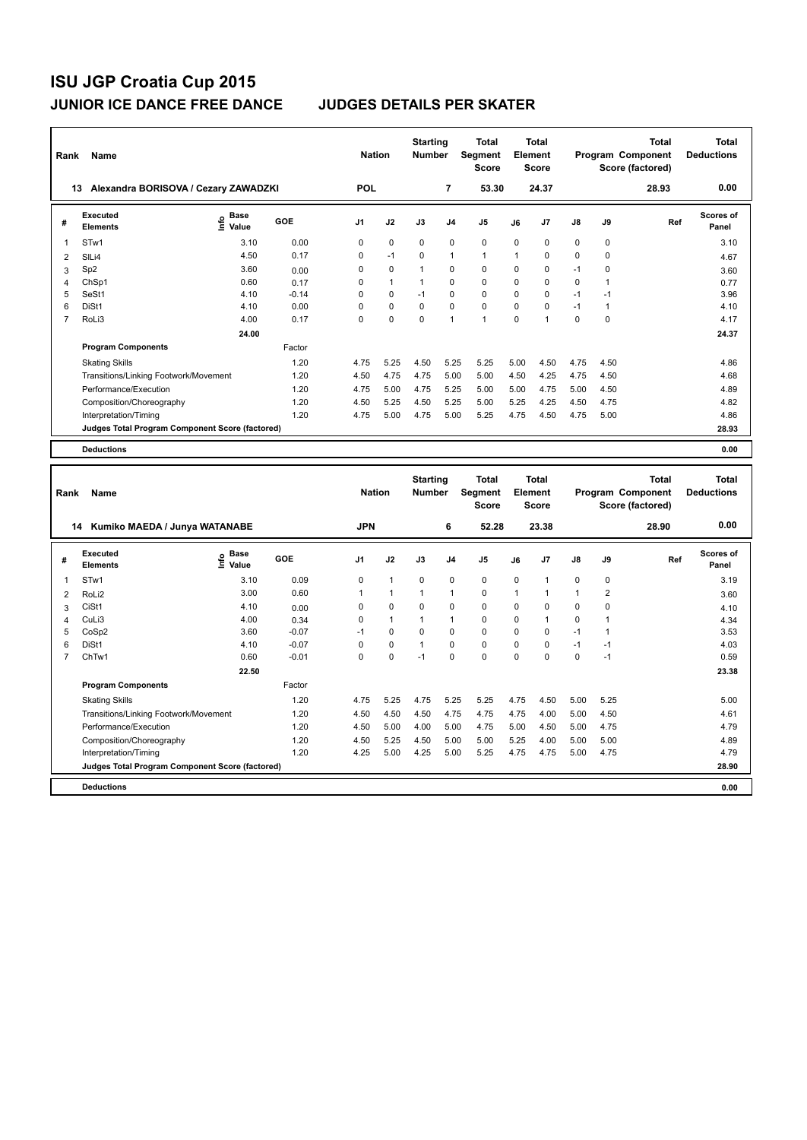| Rank | Name                                            |                     |         | <b>Nation</b>  |              | <b>Starting</b><br><b>Number</b> |                | <b>Total</b><br>Segment<br><b>Score</b> |          | <b>Total</b><br>Element<br><b>Score</b> |               |      | <b>Total</b><br>Program Component<br>Score (factored) | Total<br><b>Deductions</b> |
|------|-------------------------------------------------|---------------------|---------|----------------|--------------|----------------------------------|----------------|-----------------------------------------|----------|-----------------------------------------|---------------|------|-------------------------------------------------------|----------------------------|
| 13   | Alexandra BORISOVA / Cezary ZAWADZKI            |                     |         | <b>POL</b>     |              |                                  | 7              | 53.30                                   |          | 24.37                                   |               |      | 28.93                                                 | 0.00                       |
| #    | Executed<br><b>Elements</b>                     | Base<br>۴o<br>Value | GOE     | J <sub>1</sub> | J2           | J3                               | J <sub>4</sub> | J <sub>5</sub>                          | J6       | J <sub>7</sub>                          | $\mathsf{J}8$ | J9   | Ref                                                   | Scores of<br>Panel         |
| 1    | STw1                                            | 3.10                | 0.00    | 0              | $\mathbf 0$  | $\Omega$                         | $\Omega$       | $\Omega$                                | $\Omega$ | 0                                       | 0             | 0    |                                                       | 3.10                       |
| 2    | SILi4                                           | 4.50                | 0.17    | 0              | $-1$         | $\Omega$                         | $\mathbf{1}$   | $\mathbf{1}$                            | 1        | 0                                       | 0             | 0    |                                                       | 4.67                       |
| 3    | Sp <sub>2</sub>                                 | 3.60                | 0.00    | 0              | $\mathbf 0$  | $\overline{1}$                   | 0              | $\mathbf 0$                             | $\Omega$ | 0                                       | $-1$          | 0    |                                                       | 3.60                       |
| 4    | ChSp1                                           | 0.60                | 0.17    | 0              | $\mathbf{1}$ | 1                                | $\mathbf 0$    | 0                                       | $\Omega$ | 0                                       | 0             |      |                                                       | 0.77                       |
| 5    | SeSt1                                           | 4.10                | $-0.14$ | 0              | $\Omega$     | $-1$                             | $\Omega$       | $\Omega$                                | $\Omega$ | 0                                       | $-1$          | $-1$ |                                                       | 3.96                       |
| 6    | DiSt1                                           | 4.10                | 0.00    | 0              | $\mathbf 0$  | $\mathbf 0$                      | $\mathbf 0$    | 0                                       | 0        | 0                                       | $-1$          | 1    |                                                       | 4.10                       |
| 7    | RoLi3                                           | 4.00                | 0.17    | 0              | $\mathbf 0$  | $\Omega$                         | $\overline{1}$ | $\overline{1}$                          | $\Omega$ | 1                                       | $\Omega$      | 0    |                                                       | 4.17                       |
|      |                                                 | 24.00               |         |                |              |                                  |                |                                         |          |                                         |               |      |                                                       | 24.37                      |
|      | <b>Program Components</b>                       |                     | Factor  |                |              |                                  |                |                                         |          |                                         |               |      |                                                       |                            |
|      | <b>Skating Skills</b>                           |                     | 1.20    | 4.75           | 5.25         | 4.50                             | 5.25           | 5.25                                    | 5.00     | 4.50                                    | 4.75          | 4.50 |                                                       | 4.86                       |
|      | Transitions/Linking Footwork/Movement           |                     | 1.20    | 4.50           | 4.75         | 4.75                             | 5.00           | 5.00                                    | 4.50     | 4.25                                    | 4.75          | 4.50 |                                                       | 4.68                       |
|      | Performance/Execution                           |                     | 1.20    | 4.75           | 5.00         | 4.75                             | 5.25           | 5.00                                    | 5.00     | 4.75                                    | 5.00          | 4.50 |                                                       | 4.89                       |
|      | Composition/Choreography                        |                     | 1.20    | 4.50           | 5.25         | 4.50                             | 5.25           | 5.00                                    | 5.25     | 4.25                                    | 4.50          | 4.75 |                                                       | 4.82                       |
|      | Interpretation/Timing                           |                     | 1.20    | 4.75           | 5.00         | 4.75                             | 5.00           | 5.25                                    | 4.75     | 4.50                                    | 4.75          | 5.00 |                                                       | 4.86                       |
|      | Judges Total Program Component Score (factored) |                     |         |                |              |                                  |                |                                         |          |                                         |               |      |                                                       | 28.93                      |
|      | <b>Deductions</b>                               |                     |         |                |              |                                  |                |                                         |          |                                         |               |      |                                                       | 0.00                       |
|      |                                                 |                     |         |                |              |                                  |                |                                         |          |                                         |               |      |                                                       |                            |
| Rank | Name                                            |                     |         | <b>Nation</b>  |              | <b>Starting</b><br><b>Number</b> |                | <b>Total</b><br>Segment                 |          | <b>Total</b><br>Element                 |               |      | <b>Total</b><br>Program Component                     | Total<br><b>Deductions</b> |

| Rank | Name                                            |                           |            | <b>Nation</b> |              | <b>Number</b> |                | Segment<br><b>Score</b> |      | Element<br><b>Score</b> |               |                | Program Component<br>Score (factored) | <b>Deductions</b>         |
|------|-------------------------------------------------|---------------------------|------------|---------------|--------------|---------------|----------------|-------------------------|------|-------------------------|---------------|----------------|---------------------------------------|---------------------------|
|      | 14 Kumiko MAEDA / Junya WATANABE                |                           |            | <b>JPN</b>    |              |               | 6              | 52.28                   |      | 23.38                   |               |                | 28.90                                 | 0.00                      |
| #    | <b>Executed</b><br><b>Elements</b>              | Base<br>e Base<br>E Value | <b>GOE</b> | J1            | J2           | J3            | J <sub>4</sub> | J5                      | J6   | J7                      | $\mathsf{J}8$ | J9             | Ref                                   | <b>Scores of</b><br>Panel |
|      | STw1                                            | 3.10                      | 0.09       | 0             | $\mathbf{1}$ | 0             | 0              | 0                       | 0    | 1                       | 0             | 0              |                                       | 3.19                      |
| 2    | RoLi <sub>2</sub>                               | 3.00                      | 0.60       | 1             | $\mathbf{1}$ | 1             | $\mathbf{1}$   | 0                       | 1    | 1                       | 1             | $\overline{2}$ |                                       | 3.60                      |
| 3    | CiSt1                                           | 4.10                      | 0.00       | 0             | 0            | 0             | 0              | 0                       | 0    | 0                       | 0             | $\Omega$       |                                       | 4.10                      |
| 4    | CuLi3                                           | 4.00                      | 0.34       | $\Omega$      | $\mathbf{1}$ |               | $\mathbf{1}$   | 0                       | 0    | 1                       | 0             |                |                                       | 4.34                      |
| 5    | CoSp2                                           | 3.60                      | $-0.07$    | $-1$          | 0            | 0             | $\Omega$       | 0                       | 0    | $\Omega$                | $-1$          |                |                                       | 3.53                      |
| 6    | DiSt1                                           | 4.10                      | $-0.07$    | 0             | 0            | 1             | 0              | 0                       | 0    | 0                       | $-1$          | $-1$           |                                       | 4.03                      |
|      | ChTw1                                           | 0.60                      | $-0.01$    | $\Omega$      | 0            | $-1$          | 0              | 0                       | 0    | $\Omega$                | 0             | $-1$           |                                       | 0.59                      |
|      |                                                 | 22.50                     |            |               |              |               |                |                         |      |                         |               |                |                                       | 23.38                     |
|      | <b>Program Components</b>                       |                           | Factor     |               |              |               |                |                         |      |                         |               |                |                                       |                           |
|      | <b>Skating Skills</b>                           |                           | 1.20       | 4.75          | 5.25         | 4.75          | 5.25           | 5.25                    | 4.75 | 4.50                    | 5.00          | 5.25           |                                       | 5.00                      |
|      | Transitions/Linking Footwork/Movement           |                           | 1.20       | 4.50          | 4.50         | 4.50          | 4.75           | 4.75                    | 4.75 | 4.00                    | 5.00          | 4.50           |                                       | 4.61                      |
|      | Performance/Execution                           |                           | 1.20       | 4.50          | 5.00         | 4.00          | 5.00           | 4.75                    | 5.00 | 4.50                    | 5.00          | 4.75           |                                       | 4.79                      |
|      | Composition/Choreography                        |                           | 1.20       | 4.50          | 5.25         | 4.50          | 5.00           | 5.00                    | 5.25 | 4.00                    | 5.00          | 5.00           |                                       | 4.89                      |
|      | Interpretation/Timing                           |                           | 1.20       | 4.25          | 5.00         | 4.25          | 5.00           | 5.25                    | 4.75 | 4.75                    | 5.00          | 4.75           |                                       | 4.79                      |
|      | Judges Total Program Component Score (factored) |                           |            |               |              |               |                |                         |      |                         |               |                |                                       | 28.90                     |
|      | <b>Deductions</b>                               |                           |            |               |              |               |                |                         |      |                         |               |                |                                       | 0.00                      |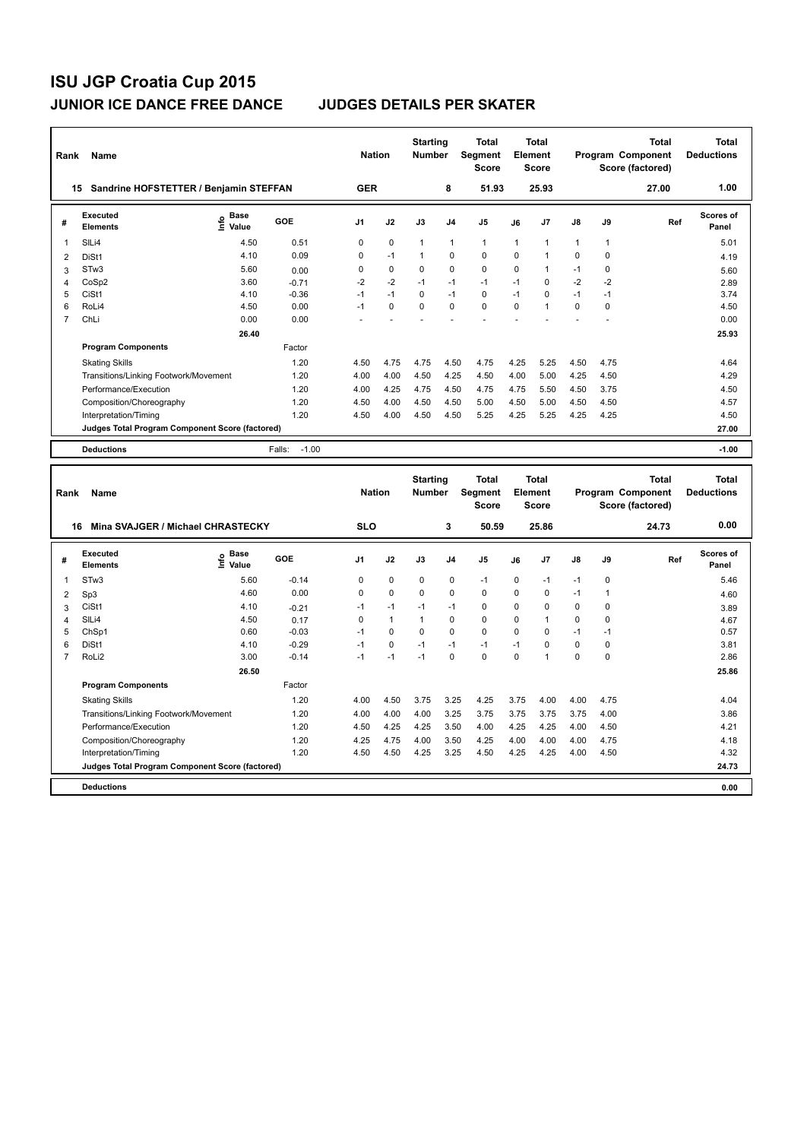| Rank           | Name                                            |                              |                   | <b>Nation</b>  |             | <b>Starting</b><br><b>Number</b> |                | <b>Total</b><br>Segment<br><b>Score</b> |          | <b>Total</b><br>Element<br><b>Score</b> |               |             | <b>Total</b><br><b>Program Component</b><br>Score (factored) | Total<br><b>Deductions</b> |
|----------------|-------------------------------------------------|------------------------------|-------------------|----------------|-------------|----------------------------------|----------------|-----------------------------------------|----------|-----------------------------------------|---------------|-------------|--------------------------------------------------------------|----------------------------|
| 15             | Sandrine HOFSTETTER / Benjamin STEFFAN          |                              |                   | <b>GER</b>     |             |                                  | 8              | 51.93                                   |          | 25.93                                   |               |             | 27.00                                                        | 1.00                       |
| #              | Executed<br><b>Elements</b>                     | <b>Base</b><br>١nfo<br>Value | GOE               | J <sub>1</sub> | J2          | J3                               | J <sub>4</sub> | J <sub>5</sub>                          | J6       | J7                                      | $\mathsf{J}8$ | J9          | Ref                                                          | Scores of<br>Panel         |
| 1              | SILi4                                           | 4.50                         | 0.51              | 0              | 0           | $\mathbf{1}$                     | $\mathbf{1}$   | $\mathbf{1}$                            | 1        | 1                                       | 1             | 1           |                                                              | 5.01                       |
| 2              | DiSt1                                           | 4.10                         | 0.09              | $\Omega$       | $-1$        | 1                                | $\mathbf 0$    | $\mathbf 0$                             | 0        | $\mathbf{1}$                            | 0             | $\mathbf 0$ |                                                              | 4.19                       |
| 3              | STw <sub>3</sub>                                | 5.60                         | 0.00              | 0              | $\mathbf 0$ | $\Omega$                         | $\mathbf 0$    | $\mathbf 0$                             | 0        | 1                                       | $-1$          | 0           |                                                              | 5.60                       |
| 4              | CoSp2                                           | 3.60                         | $-0.71$           | $-2$           | $-2$        | $-1$                             | $-1$           | $-1$                                    | $-1$     | $\mathbf 0$                             | $-2$          | $-2$        |                                                              | 2.89                       |
| 5              | CiSt1                                           | 4.10                         | $-0.36$           | $-1$           | $-1$        | $\Omega$                         | $-1$           | $\Omega$                                | $-1$     | $\Omega$                                | $-1$          | $-1$        |                                                              | 3.74                       |
| 6              | RoLi4                                           | 4.50                         | 0.00              | $-1$           | $\Omega$    | $\Omega$                         | $\Omega$       | $\Omega$                                | $\Omega$ | $\mathbf{1}$                            | 0             | $\Omega$    |                                                              | 4.50                       |
| $\overline{7}$ | ChLi                                            | 0.00                         | 0.00              |                |             |                                  |                |                                         |          |                                         |               |             |                                                              | 0.00                       |
|                |                                                 | 26.40                        |                   |                |             |                                  |                |                                         |          |                                         |               |             |                                                              | 25.93                      |
|                | <b>Program Components</b>                       |                              | Factor            |                |             |                                  |                |                                         |          |                                         |               |             |                                                              |                            |
|                | <b>Skating Skills</b>                           |                              | 1.20              | 4.50           | 4.75        | 4.75                             | 4.50           | 4.75                                    | 4.25     | 5.25                                    | 4.50          | 4.75        |                                                              | 4.64                       |
|                | Transitions/Linking Footwork/Movement           |                              | 1.20              | 4.00           | 4.00        | 4.50                             | 4.25           | 4.50                                    | 4.00     | 5.00                                    | 4.25          | 4.50        |                                                              | 4.29                       |
|                | Performance/Execution                           |                              | 1.20              | 4.00           | 4.25        | 4.75                             | 4.50           | 4.75                                    | 4.75     | 5.50                                    | 4.50          | 3.75        |                                                              | 4.50                       |
|                | Composition/Choreography                        |                              | 1.20              | 4.50           | 4.00        | 4.50                             | 4.50           | 5.00                                    | 4.50     | 5.00                                    | 4.50          | 4.50        |                                                              | 4.57                       |
|                | Interpretation/Timing                           |                              | 1.20              | 4.50           | 4.00        | 4.50                             | 4.50           | 5.25                                    | 4.25     | 5.25                                    | 4.25          | 4.25        |                                                              | 4.50                       |
|                | Judges Total Program Component Score (factored) |                              |                   |                |             |                                  |                |                                         |          |                                         |               |             |                                                              | 27.00                      |
|                | <b>Deductions</b>                               |                              | $-1.00$<br>Falls: |                |             |                                  |                |                                         |          |                                         |               |             |                                                              | $-1.00$                    |
| Rank           | Name                                            |                              |                   | <b>Nation</b>  |             | <b>Starting</b><br><b>Number</b> |                | <b>Total</b><br>Segment<br><b>Score</b> |          | <b>Total</b><br>Element<br><b>Score</b> |               |             | <b>Total</b><br><b>Program Component</b><br>Score (factored) | Total<br><b>Deductions</b> |

|                                         |                                                 |                       |            |                |              |             |                | Score       |          | <b>Score</b> |               |             | Score (factored) |                           |
|-----------------------------------------|-------------------------------------------------|-----------------------|------------|----------------|--------------|-------------|----------------|-------------|----------|--------------|---------------|-------------|------------------|---------------------------|
| Mina SVAJGER / Michael CHRASTECKY<br>16 |                                                 |                       | <b>SLO</b> |                |              | 3           | 50.59          |             | 25.86    |              |               | 24.73       | 0.00             |                           |
| #                                       | Executed<br><b>Elements</b>                     | $\sum_{i=1}^{6}$ Pase | <b>GOE</b> | J <sub>1</sub> | J2           | J3          | J <sub>4</sub> | J5          | J6       | J7           | $\mathsf{J}8$ | J9          | Ref              | <b>Scores of</b><br>Panel |
|                                         | STw <sub>3</sub>                                | 5.60                  | $-0.14$    | 0              | $\mathbf 0$  | 0           | 0              | $-1$        | $\Omega$ | $-1$         | $-1$          | $\mathbf 0$ |                  | 5.46                      |
| 2                                       | Sp3                                             | 4.60                  | 0.00       | 0              | $\pmb{0}$    | $\mathbf 0$ | $\pmb{0}$      | $\mathbf 0$ | 0        | 0            | $-1$          |             |                  | 4.60                      |
| 3                                       | CiSt1                                           | 4.10                  | $-0.21$    | $-1$           | $-1$         | $-1$        | $-1$           | 0           | $\Omega$ | 0            | 0             | 0           |                  | 3.89                      |
| 4                                       | SILi4                                           | 4.50                  | 0.17       | 0              | $\mathbf{1}$ |             | $\mathbf 0$    | 0           | $\Omega$ |              | 0             | 0           |                  | 4.67                      |
| 5                                       | ChSp1                                           | 0.60                  | $-0.03$    | $-1$           | 0            | 0           | $\mathbf 0$    | 0           | $\Omega$ | 0            | $-1$          | $-1$        |                  | 0.57                      |
| 6                                       | DiSt1                                           | 4.10                  | $-0.29$    | $-1$           | $\mathbf 0$  | $-1$        | $-1$           | $-1$        | $-1$     | 0            | 0             | $\Omega$    |                  | 3.81                      |
|                                         | RoLi2                                           | 3.00                  | $-0.14$    | $-1$           | $-1$         | $-1$        | $\mathbf 0$    | $\mathbf 0$ | 0        |              | 0             | 0           |                  | 2.86                      |
|                                         |                                                 | 26.50                 |            |                |              |             |                |             |          |              |               |             |                  | 25.86                     |
|                                         | <b>Program Components</b>                       |                       | Factor     |                |              |             |                |             |          |              |               |             |                  |                           |
|                                         | <b>Skating Skills</b>                           |                       | 1.20       | 4.00           | 4.50         | 3.75        | 3.25           | 4.25        | 3.75     | 4.00         | 4.00          | 4.75        |                  | 4.04                      |
|                                         | Transitions/Linking Footwork/Movement           |                       | 1.20       | 4.00           | 4.00         | 4.00        | 3.25           | 3.75        | 3.75     | 3.75         | 3.75          | 4.00        |                  | 3.86                      |
|                                         | Performance/Execution                           |                       | 1.20       | 4.50           | 4.25         | 4.25        | 3.50           | 4.00        | 4.25     | 4.25         | 4.00          | 4.50        |                  | 4.21                      |
|                                         | Composition/Choreography                        |                       | 1.20       | 4.25           | 4.75         | 4.00        | 3.50           | 4.25        | 4.00     | 4.00         | 4.00          | 4.75        |                  | 4.18                      |
|                                         | Interpretation/Timing                           |                       | 1.20       | 4.50           | 4.50         | 4.25        | 3.25           | 4.50        | 4.25     | 4.25         | 4.00          | 4.50        |                  | 4.32                      |
|                                         | Judges Total Program Component Score (factored) |                       |            |                |              |             |                |             |          |              |               |             |                  | 24.73                     |
|                                         | <b>Deductions</b>                               |                       |            |                |              |             |                |             |          |              |               |             |                  | 0.00                      |